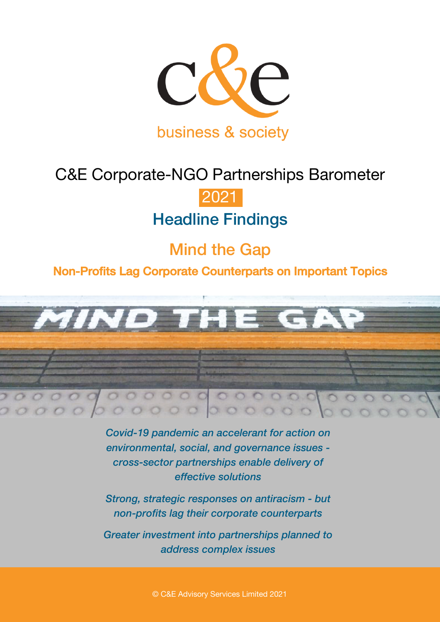

# C&E Corporate-NGO Partnerships Barometer

## 2021

# Headline Findings

# Mind the Gap

### Non-Profits Lag Corporate Counterparts on Important Topics





*Covid-19 pandemic an accelerant for action on environmental, social, and governance issues cross-sector partnerships enable delivery of effective solutions*

*Strong, strategic responses on antiracism - but non-profits lag their corporate counterparts*

*Greater investment into partnerships planned to address complex issues*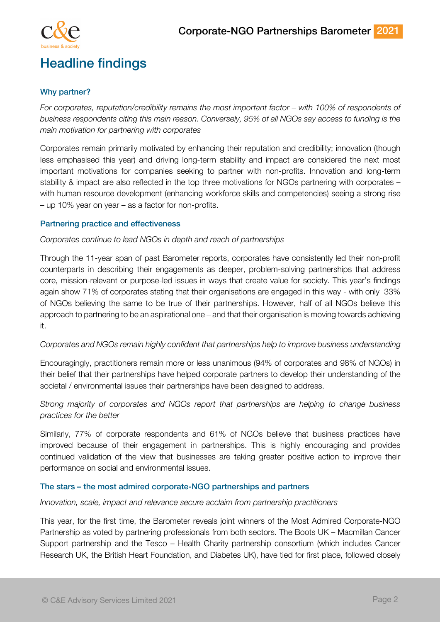



### Headline findings

#### Why partner?

*For corporates, reputation/credibility remains the most important factor – with 100% of respondents of business respondents citing this main reason. Conversely, 95% of all NGOs say access to funding is the main motivation for partnering with corporates*

Corporates remain primarily motivated by enhancing their reputation and credibility; innovation (though less emphasised this year) and driving long-term stability and impact are considered the next most important motivations for companies seeking to partner with non-profits. Innovation and long-term stability & impact are also reflected in the top three motivations for NGOs partnering with corporates – with human resource development (enhancing workforce skills and competencies) seeing a strong rise – up 10% year on year – as a factor for non-profits.

#### Partnering practice and effectiveness

#### *Corporates continue to lead NGOs in depth and reach of partnerships*

Through the 11-year span of past Barometer reports, corporates have consistently led their non-profit counterparts in describing their engagements as deeper, problem-solving partnerships that address core, mission-relevant or purpose-led issues in ways that create value for society. This year's findings again show 71% of corporates stating that their organisations are engaged in this way - with only 33% of NGOs believing the same to be true of their partnerships. However, half of all NGOs believe this approach to partnering to be an aspirational one – and that their organisation is moving towards achieving it.

#### *Corporates and NGOs remain highly confident that partnerships help to improve business understanding*

Encouragingly, practitioners remain more or less unanimous (94% of corporates and 98% of NGOs) in their belief that their partnerships have helped corporate partners to develop their understanding of the societal / environmental issues their partnerships have been designed to address.

#### *Strong majority of corporates and NGOs report that partnerships are helping to change business practices for the better*

Similarly, 77% of corporate respondents and 61% of NGOs believe that business practices have improved because of their engagement in partnerships. This is highly encouraging and provides continued validation of the view that businesses are taking greater positive action to improve their performance on social and environmental issues.

#### The stars – the most admired corporate-NGO partnerships and partners

#### *Innovation, scale, impact and relevance secure acclaim from partnership practitioners*

This year, for the first time, the Barometer reveals joint winners of the Most Admired Corporate-NGO Partnership as voted by partnering professionals from both sectors. The Boots UK – Macmillan Cancer Support partnership and the Tesco – Health Charity partnership consortium (which includes Cancer Research UK, the British Heart Foundation, and Diabetes UK), have tied for first place, followed closely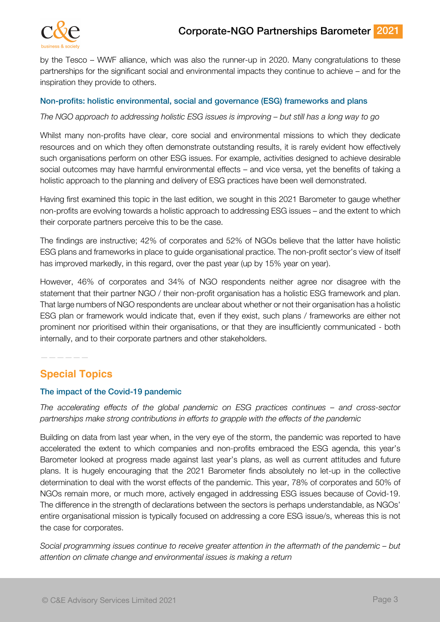

by the Tesco – WWF alliance, which was also the runner-up in 2020. Many congratulations to these partnerships for the significant social and environmental impacts they continue to achieve – and for the inspiration they provide to others.

#### Non-profits: holistic environmental, social and governance (ESG) frameworks and plans

*The NGO approach to addressing holistic ESG issues is improving – but still has a long way to go*

Whilst many non-profits have clear, core social and environmental missions to which they dedicate resources and on which they often demonstrate outstanding results, it is rarely evident how effectively such organisations perform on other ESG issues. For example, activities designed to achieve desirable social outcomes may have harmful environmental effects – and vice versa, yet the benefits of taking a holistic approach to the planning and delivery of ESG practices have been well demonstrated.

Having first examined this topic in the last edition, we sought in this 2021 Barometer to gauge whether non-profits are evolving towards a holistic approach to addressing ESG issues – and the extent to which their corporate partners perceive this to be the case.

The findings are instructive; 42% of corporates and 52% of NGOs believe that the latter have holistic ESG plans and frameworks in place to guide organisational practice. The non-profit sector's view of itself has improved markedly, in this regard, over the past year (up by 15% year on year).

However, 46% of corporates and 34% of NGO respondents neither agree nor disagree with the statement that their partner NGO / their non-profit organisation has a holistic ESG framework and plan. That large numbers of NGO respondents are unclear about whether or not their organisation has a holistic ESG plan or framework would indicate that, even if they exist, such plans / frameworks are either not prominent nor prioritised within their organisations, or that they are insufficiently communicated - both internally, and to their corporate partners and other stakeholders.

——————

### **Special Topics**

#### The impact of the Covid-19 pandemic

*The accelerating effects of the global pandemic on ESG practices continues – and cross-sector partnerships make strong contributions in efforts to grapple with the effects of the pandemic*

Building on data from last year when, in the very eye of the storm, the pandemic was reported to have accelerated the extent to which companies and non-profits embraced the ESG agenda, this year's Barometer looked at progress made against last year's plans, as well as current attitudes and future plans. It is hugely encouraging that the 2021 Barometer finds absolutely no let-up in the collective determination to deal with the worst effects of the pandemic. This year, 78% of corporates and 50% of NGOs remain more, or much more, actively engaged in addressing ESG issues because of Covid-19. The difference in the strength of declarations between the sectors is perhaps understandable, as NGOs' entire organisational mission is typically focused on addressing a core ESG issue/s, whereas this is not the case for corporates.

*Social programming issues continue to receive greater attention in the aftermath of the pandemic – but attention on climate change and environmental issues is making a return*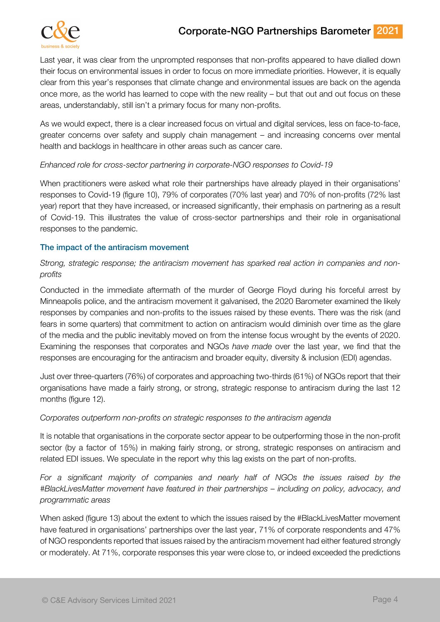### Corporate-NGO Partnerships Barometer 2021



Last year, it was clear from the unprompted responses that non-profits appeared to have dialled down their focus on environmental issues in order to focus on more immediate priorities. However, it is equally clear from this year's responses that climate change and environmental issues are back on the agenda once more, as the world has learned to cope with the new reality – but that out and out focus on these areas, understandably, still isn't a primary focus for many non-profits.

As we would expect, there is a clear increased focus on virtual and digital services, less on face-to-face, greater concerns over safety and supply chain management – and increasing concerns over mental health and backlogs in healthcare in other areas such as cancer care.

#### *Enhanced role for cross-sector partnering in corporate-NGO responses to Covid-19*

When practitioners were asked what role their partnerships have already played in their organisations' responses to Covid-19 (figure 10), 79% of corporates (70% last year) and 70% of non-profits (72% last year) report that they have increased, or increased significantly, their emphasis on partnering as a result of Covid-19. This illustrates the value of cross-sector partnerships and their role in organisational responses to the pandemic.

#### The impact of the antiracism movement

*Strong, strategic response; the antiracism movement has sparked real action in companies and nonprofits*

Conducted in the immediate aftermath of the murder of George Floyd during his forceful arrest by Minneapolis police, and the antiracism movement it galvanised, the 2020 Barometer examined the likely responses by companies and non-profits to the issues raised by these events. There was the risk (and fears in some quarters) that commitment to action on antiracism would diminish over time as the glare of the media and the public inevitably moved on from the intense focus wrought by the events of 2020. Examining the responses that corporates and NGOs *have made* over the last year, we find that the responses are encouraging for the antiracism and broader equity, diversity & inclusion (EDI) agendas.

Just over three-quarters (76%) of corporates and approaching two-thirds (61%) of NGOs report that their organisations have made a fairly strong, or strong, strategic response to antiracism during the last 12 months (figure 12).

#### *Corporates outperform non-profits on strategic responses to the antiracism agenda*

It is notable that organisations in the corporate sector appear to be outperforming those in the non-profit sector (by a factor of 15%) in making fairly strong, or strong, strategic responses on antiracism and related EDI issues. We speculate in the report why this lag exists on the part of non-profits.

*For a significant majority of companies and nearly half of NGOs the issues raised by the #BlackLivesMatter movement have featured in their partnerships – including on policy, advocacy, and programmatic areas* 

When asked (figure 13) about the extent to which the issues raised by the #BlackLivesMatter movement have featured in organisations' partnerships over the last year, 71% of corporate respondents and 47% of NGO respondents reported that issues raised by the antiracism movement had either featured strongly or moderately. At 71%, corporate responses this year were close to, or indeed exceeded the predictions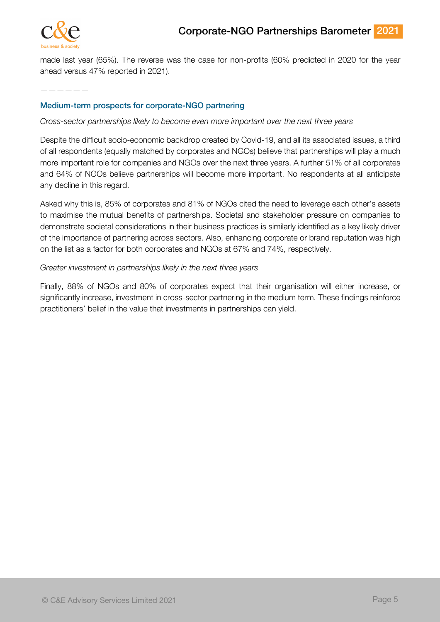

made last year (65%). The reverse was the case for non-profits (60% predicted in 2020 for the year ahead versus 47% reported in 2021).

——————

#### Medium-term prospects for corporate-NGO partnering

*Cross-sector partnerships likely to become even more important over the next three years* 

Despite the difficult socio-economic backdrop created by Covid-19, and all its associated issues, a third of all respondents (equally matched by corporates and NGOs) believe that partnerships will play a much more important role for companies and NGOs over the next three years. A further 51% of all corporates and 64% of NGOs believe partnerships will become more important. No respondents at all anticipate any decline in this regard.

Asked why this is, 85% of corporates and 81% of NGOs cited the need to leverage each other's assets to maximise the mutual benefits of partnerships. Societal and stakeholder pressure on companies to demonstrate societal considerations in their business practices is similarly identified as a key likely driver of the importance of partnering across sectors. Also, enhancing corporate or brand reputation was high on the list as a factor for both corporates and NGOs at 67% and 74%, respectively.

#### *Greater investment in partnerships likely in the next three years*

Finally, 88% of NGOs and 80% of corporates expect that their organisation will either increase, or significantly increase, investment in cross-sector partnering in the medium term. These findings reinforce practitioners' belief in the value that investments in partnerships can yield.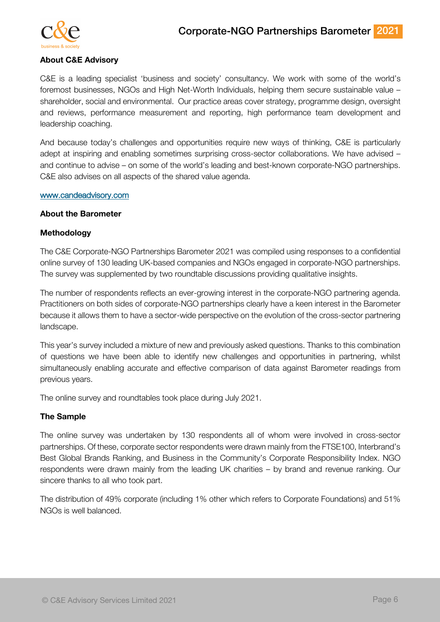

#### **About C&E Advisory**

C&E is a leading specialist 'business and society' consultancy. We work with some of the world's foremost businesses, NGOs and High Net-Worth Individuals, helping them secure sustainable value – shareholder, social and environmental. Our practice areas cover strategy, programme design, oversight and reviews, performance measurement and reporting, high performance team development and leadership coaching.

And because today's challenges and opportunities require new ways of thinking, C&E is particularly adept at inspiring and enabling sometimes surprising cross-sector collaborations. We have advised – and continue to advise – on some of the world's leading and best-known corporate-NGO partnerships. C&E also advises on all aspects of the shared value agenda.

#### www.candeadvisory.com

#### **About the Barometer**

#### **Methodology**

The C&E Corporate-NGO Partnerships Barometer 2021 was compiled using responses to a confidential online survey of 130 leading UK-based companies and NGOs engaged in corporate-NGO partnerships. The survey was supplemented by two roundtable discussions providing qualitative insights.

The number of respondents reflects an ever-growing interest in the corporate-NGO partnering agenda. Practitioners on both sides of corporate-NGO partnerships clearly have a keen interest in the Barometer because it allows them to have a sector-wide perspective on the evolution of the cross-sector partnering landscape.

This year's survey included a mixture of new and previously asked questions. Thanks to this combination of questions we have been able to identify new challenges and opportunities in partnering, whilst simultaneously enabling accurate and effective comparison of data against Barometer readings from previous years.

The online survey and roundtables took place during July 2021.

#### **The Sample**

The online survey was undertaken by 130 respondents all of whom were involved in cross-sector partnerships. Of these, corporate sector respondents were drawn mainly from the FTSE100, Interbrand's Best Global Brands Ranking, and Business in the Community's Corporate Responsibility Index. NGO respondents were drawn mainly from the leading UK charities – by brand and revenue ranking. Our sincere thanks to all who took part.

The distribution of 49% corporate (including 1% other which refers to Corporate Foundations) and 51% NGOs is well balanced.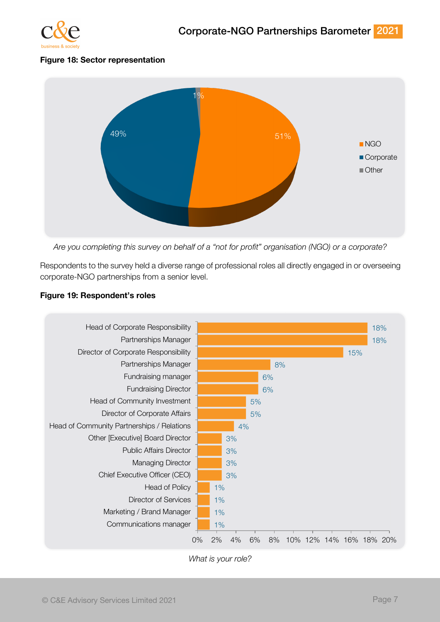

#### **Figure 18: Sector representation**



*Are you completing this survey on behalf of a "not for profit" organisation (NGO) or a corporate?*

Respondents to the survey held a diverse range of professional roles all directly engaged in or overseeing corporate-NGO partnerships from a senior level.



#### **Figure 19: Respondent's roles**

*What is your role?*